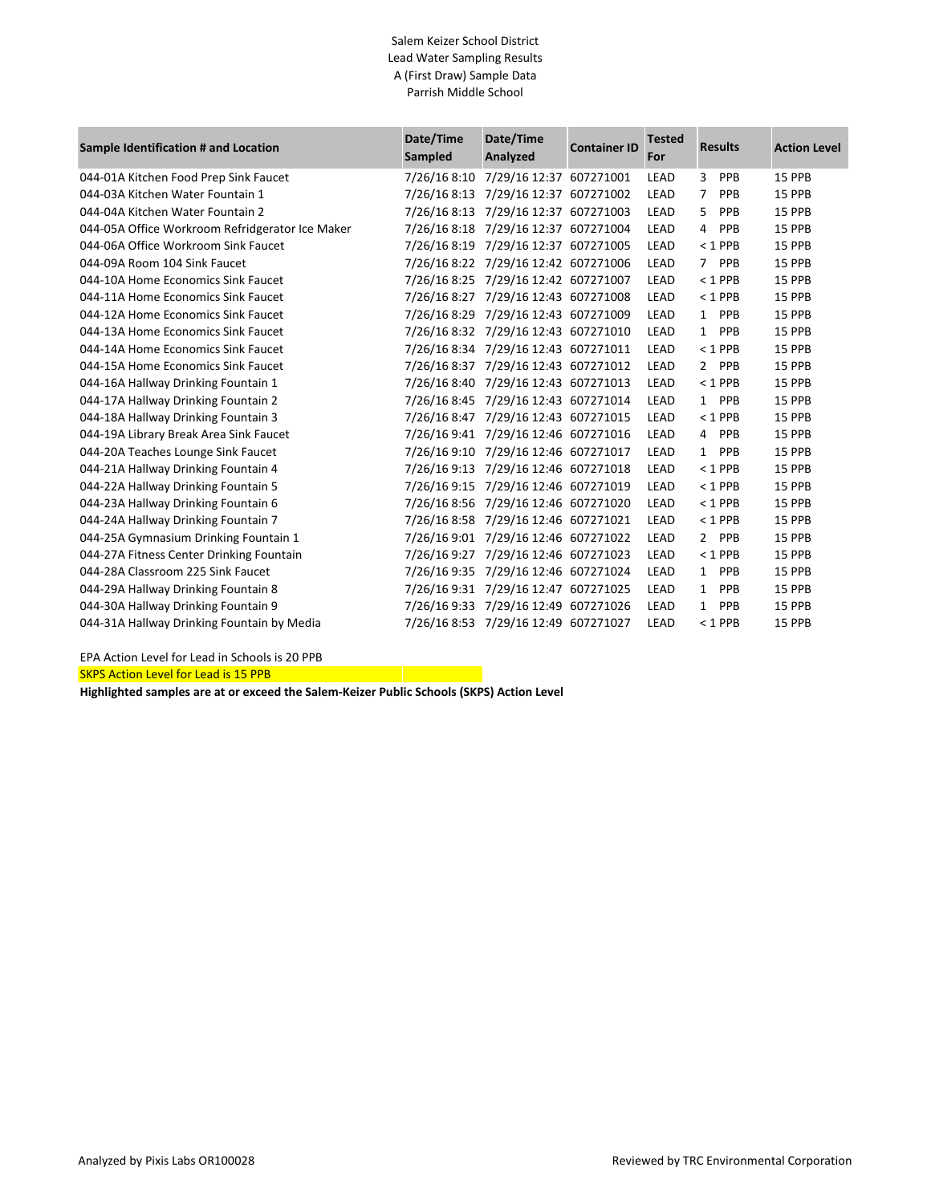## Salem Keizer School District Lead Water Sampling Results A (First Draw) Sample Data Parrish Middle School

| Sample Identification # and Location            | Date/Time<br>Sampled | Date/Time<br>Analyzed                | <b>Container ID</b> | <b>Tested</b><br>For | <b>Results</b>        | <b>Action Level</b> |
|-------------------------------------------------|----------------------|--------------------------------------|---------------------|----------------------|-----------------------|---------------------|
| 044-01A Kitchen Food Prep Sink Faucet           | 7/26/16 8:10         | 7/29/16 12:37 607271001              |                     | LEAD                 | 3<br>PPB              | 15 PPB              |
| 044-03A Kitchen Water Fountain 1                | 7/26/16 8:13         | 7/29/16 12:37 607271002              |                     | LEAD                 | $\overline{7}$<br>PPB | 15 PPB              |
| 044-04A Kitchen Water Fountain 2                |                      | 7/26/16 8:13 7/29/16 12:37 607271003 |                     | LEAD                 | 5<br>PPB              | 15 PPB              |
| 044-05A Office Workroom Refridgerator Ice Maker |                      | 7/26/16 8:18 7/29/16 12:37 607271004 |                     | LEAD                 | PPB<br>$\overline{4}$ | 15 PPB              |
| 044-06A Office Workroom Sink Faucet             |                      | 7/26/16 8:19 7/29/16 12:37 607271005 |                     | LEAD                 | $< 1$ PPB             | 15 PPB              |
| 044-09A Room 104 Sink Faucet                    |                      | 7/26/16 8:22 7/29/16 12:42 607271006 |                     | LEAD                 | $7^{\circ}$<br>PPB    | 15 PPB              |
| 044-10A Home Economics Sink Faucet              |                      | 7/26/16 8:25 7/29/16 12:42 607271007 |                     | LEAD                 | $< 1$ PPB             | 15 PPB              |
| 044-11A Home Economics Sink Faucet              |                      | 7/26/16 8:27 7/29/16 12:43 607271008 |                     | LEAD                 | $< 1$ PPB             | 15 PPB              |
| 044-12A Home Economics Sink Faucet              |                      | 7/26/16 8:29 7/29/16 12:43 607271009 |                     | LEAD                 | PPB<br>$\mathbf{1}$   | 15 PPB              |
| 044-13A Home Economics Sink Faucet              |                      | 7/26/16 8:32 7/29/16 12:43 607271010 |                     | LEAD                 | PPB<br>1              | 15 PPB              |
| 044-14A Home Economics Sink Faucet              |                      | 7/26/16 8:34 7/29/16 12:43 607271011 |                     | LEAD                 | $< 1$ PPB             | 15 PPB              |
| 044-15A Home Economics Sink Faucet              |                      | 7/26/16 8:37 7/29/16 12:43 607271012 |                     | LEAD                 | 2 PPB                 | 15 PPB              |
| 044-16A Hallway Drinking Fountain 1             |                      | 7/26/16 8:40 7/29/16 12:43 607271013 |                     | LEAD                 | $< 1$ PPB             | 15 PPB              |
| 044-17A Hallway Drinking Fountain 2             |                      | 7/26/16 8:45 7/29/16 12:43 607271014 |                     | LEAD                 | 1 PPB                 | 15 PPB              |
| 044-18A Hallway Drinking Fountain 3             |                      | 7/26/16 8:47 7/29/16 12:43 607271015 |                     | LEAD                 | $< 1$ PPB             | 15 PPB              |
| 044-19A Library Break Area Sink Faucet          |                      | 7/26/16 9:41 7/29/16 12:46 607271016 |                     | LEAD                 | 4 PPB                 | 15 PPB              |
| 044-20A Teaches Lounge Sink Faucet              |                      | 7/26/16 9:10 7/29/16 12:46 607271017 |                     | LEAD                 | PPB<br>$\mathbf{1}$   | 15 PPB              |
| 044-21A Hallway Drinking Fountain 4             |                      | 7/26/16 9:13 7/29/16 12:46 607271018 |                     | LEAD                 | $< 1$ PPB             | 15 PPB              |
| 044-22A Hallway Drinking Fountain 5             |                      | 7/26/16 9:15 7/29/16 12:46 607271019 |                     | LEAD                 | $< 1$ PPB             | 15 PPB              |
| 044-23A Hallway Drinking Fountain 6             |                      | 7/26/16 8:56 7/29/16 12:46 607271020 |                     | LEAD                 | $< 1$ PPB             | 15 PPB              |
| 044-24A Hallway Drinking Fountain 7             |                      | 7/26/16 8:58 7/29/16 12:46 607271021 |                     | LEAD                 | $< 1$ PPB             | 15 PPB              |
| 044-25A Gymnasium Drinking Fountain 1           |                      | 7/26/16 9:01 7/29/16 12:46 607271022 |                     | LEAD                 | 2 PPB                 | 15 PPB              |
| 044-27A Fitness Center Drinking Fountain        |                      | 7/26/16 9:27 7/29/16 12:46 607271023 |                     | LEAD                 | $< 1$ PPB             | 15 PPB              |
| 044-28A Classroom 225 Sink Faucet               |                      | 7/26/16 9:35 7/29/16 12:46 607271024 |                     | LEAD                 | PPB<br>$\mathbf{1}$   | 15 PPB              |
| 044-29A Hallway Drinking Fountain 8             | 7/26/16 9:31         | 7/29/16 12:47 607271025              |                     | LEAD                 | PPB<br>$\mathbf{1}$   | 15 PPB              |
| 044-30A Hallway Drinking Fountain 9             |                      | 7/26/16 9:33 7/29/16 12:49 607271026 |                     | LEAD                 | PPB<br>$\mathbf{1}$   | 15 PPB              |
| 044-31A Hallway Drinking Fountain by Media      |                      | 7/26/16 8:53 7/29/16 12:49 607271027 |                     | LEAD                 | $< 1$ PPB             | 15 PPB              |

EPA Action Level for Lead in Schools is 20 PPB

**SKPS Action Level for Lead is 15 PPB** 

**Highlighted samples are at or exceed the Salem-Keizer Public Schools (SKPS) Action Level**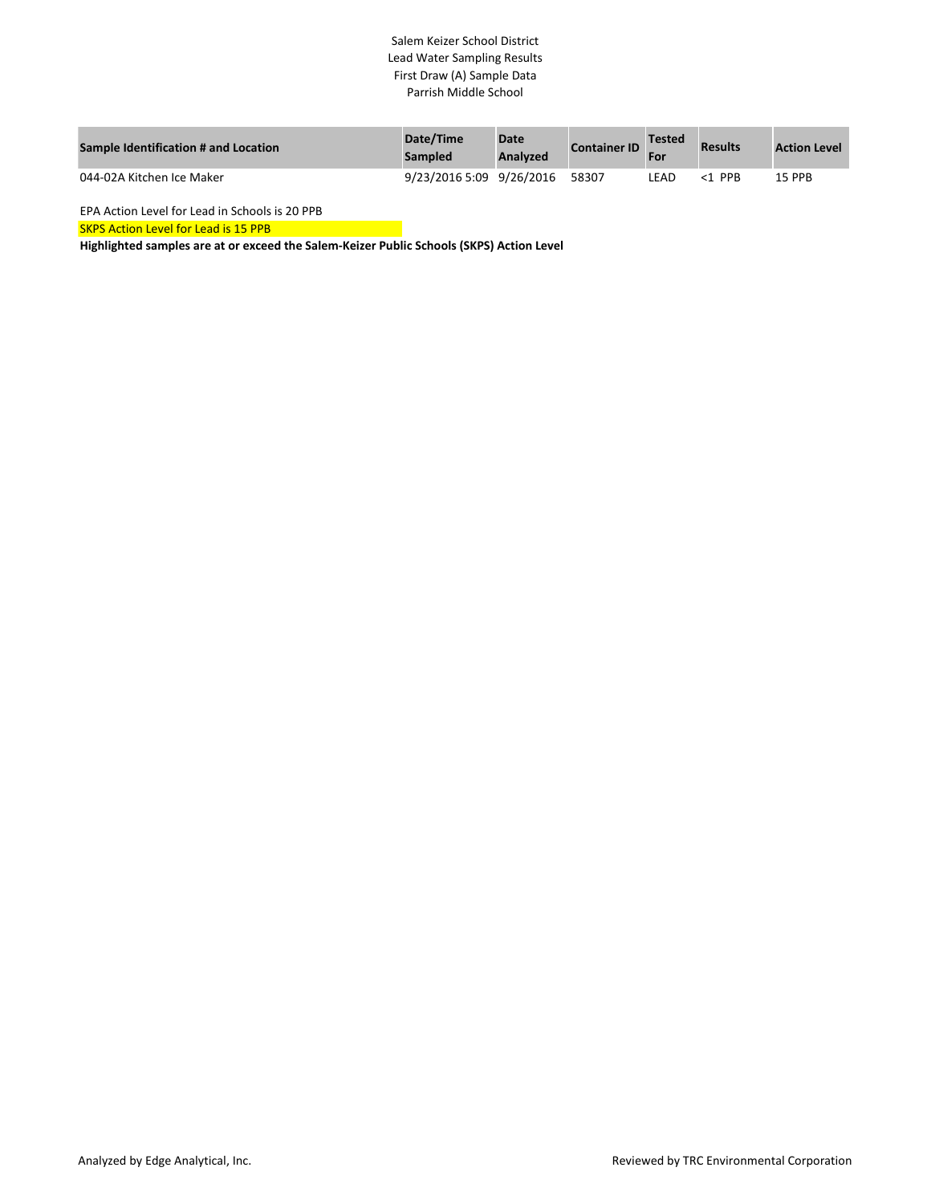## Salem Keizer School District Lead Water Sampling Results First Draw (A) Sample Data Parrish Middle School

| Sample Identification # and Location | Date/Time<br><b>Sampled</b> | <b>Date</b><br><b>Analyzed</b> | <b>Container ID</b> | Tested<br>For | <b>Results</b>         | <b>Action Level</b> |
|--------------------------------------|-----------------------------|--------------------------------|---------------------|---------------|------------------------|---------------------|
| 044-02A Kitchen Ice Maker            | 9/23/2016 5:09 9/26/2016    |                                | 58307               | LEAD.         | <b>PPR</b><br>$\leq 1$ | 15 PPB              |

EPA Action Level for Lead in Schools is 20 PPB

SKPS Action Level for Lead is 15 PPB

**Highlighted samples are at or exceed the Salem-Keizer Public Schools (SKPS) Action Level**